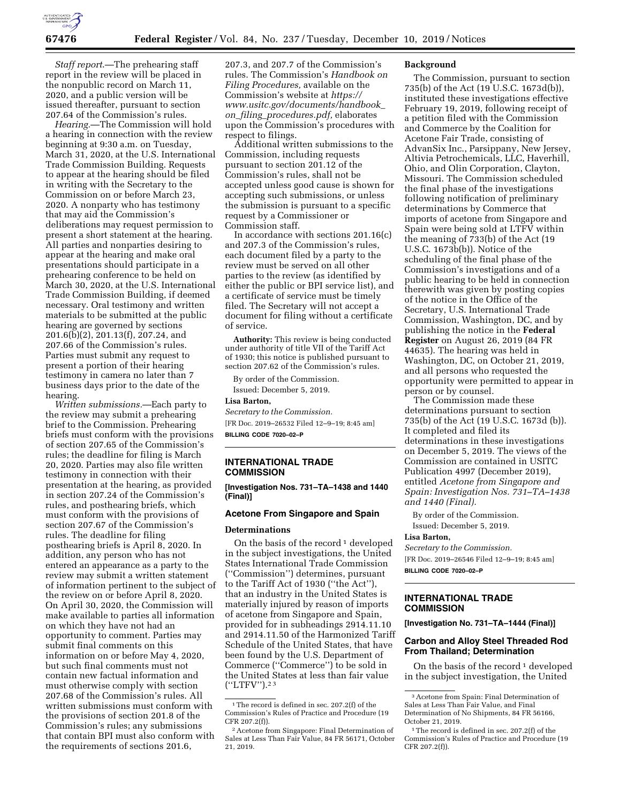

*Staff report*.—The prehearing staff report in the review will be placed in the nonpublic record on March 11, 2020, and a public version will be issued thereafter, pursuant to section 207.64 of the Commission's rules.

*Hearing.*—The Commission will hold a hearing in connection with the review beginning at 9:30 a.m. on Tuesday, March 31, 2020, at the U.S. International Trade Commission Building. Requests to appear at the hearing should be filed in writing with the Secretary to the Commission on or before March 23, 2020. A nonparty who has testimony that may aid the Commission's deliberations may request permission to present a short statement at the hearing. All parties and nonparties desiring to appear at the hearing and make oral presentations should participate in a prehearing conference to be held on March 30, 2020, at the U.S. International Trade Commission Building, if deemed necessary. Oral testimony and written materials to be submitted at the public hearing are governed by sections 201.6(b)(2), 201.13(f), 207.24, and 207.66 of the Commission's rules. Parties must submit any request to present a portion of their hearing testimony in camera no later than 7 business days prior to the date of the hearing.

*Written submissions.*—Each party to the review may submit a prehearing brief to the Commission. Prehearing briefs must conform with the provisions of section 207.65 of the Commission's rules; the deadline for filing is March 20, 2020. Parties may also file written testimony in connection with their presentation at the hearing, as provided in section 207.24 of the Commission's rules, and posthearing briefs, which must conform with the provisions of section 207.67 of the Commission's rules. The deadline for filing posthearing briefs is April 8, 2020. In addition, any person who has not entered an appearance as a party to the review may submit a written statement of information pertinent to the subject of the review on or before April 8, 2020. On April 30, 2020, the Commission will make available to parties all information on which they have not had an opportunity to comment. Parties may submit final comments on this information on or before May 4, 2020, but such final comments must not contain new factual information and must otherwise comply with section 207.68 of the Commission's rules. All written submissions must conform with the provisions of section 201.8 of the Commission's rules; any submissions that contain BPI must also conform with the requirements of sections 201.6,

207.3, and 207.7 of the Commission's rules. The Commission's *Handbook on Filing Procedures,* available on the Commission's website at *[https://](https://www.usitc.gov/documents/handbook_on_filing_procedures.pdf) [www.usitc.gov/documents/handbook](https://www.usitc.gov/documents/handbook_on_filing_procedures.pdf)*\_ *on*\_*filing*\_*[procedures.pdf,](https://www.usitc.gov/documents/handbook_on_filing_procedures.pdf)* elaborates upon the Commission's procedures with respect to filings.

Additional written submissions to the Commission, including requests pursuant to section 201.12 of the Commission's rules, shall not be accepted unless good cause is shown for accepting such submissions, or unless the submission is pursuant to a specific request by a Commissioner or Commission staff.

In accordance with sections 201.16(c) and 207.3 of the Commission's rules, each document filed by a party to the review must be served on all other parties to the review (as identified by either the public or BPI service list), and a certificate of service must be timely filed. The Secretary will not accept a document for filing without a certificate of service.

**Authority:** This review is being conducted under authority of title VII of the Tariff Act of 1930; this notice is published pursuant to section 207.62 of the Commission's rules.

By order of the Commission.

Issued: December 5, 2019.

# **Lisa Barton,**

*Secretary to the Commission.*  [FR Doc. 2019–26532 Filed 12–9–19; 8:45 am] **BILLING CODE 7020–02–P** 

## **INTERNATIONAL TRADE COMMISSION**

**[Investigation Nos. 731–TA–1438 and 1440 (Final)]** 

## **Acetone From Singapore and Spain**

#### **Determinations**

On the basis of the record  $\frac{1}{1}$  developed in the subject investigations, the United States International Trade Commission (''Commission'') determines, pursuant to the Tariff Act of 1930 (''the Act''), that an industry in the United States is materially injured by reason of imports of acetone from Singapore and Spain, provided for in subheadings 2914.11.10 and 2914.11.50 of the Harmonized Tariff Schedule of the United States, that have been found by the U.S. Department of Commerce (''Commerce'') to be sold in the United States at less than fair value (''LTFV'').2 3

#### **Background**

The Commission, pursuant to section 735(b) of the Act (19 U.S.C. 1673d(b)), instituted these investigations effective February 19, 2019, following receipt of a petition filed with the Commission and Commerce by the Coalition for Acetone Fair Trade, consisting of AdvanSix Inc., Parsippany, New Jersey, Altivia Petrochemicals, LLC, Haverhill, Ohio, and Olin Corporation, Clayton, Missouri. The Commission scheduled the final phase of the investigations following notification of preliminary determinations by Commerce that imports of acetone from Singapore and Spain were being sold at LTFV within the meaning of 733(b) of the Act (19 U.S.C. 1673b(b)). Notice of the scheduling of the final phase of the Commission's investigations and of a public hearing to be held in connection therewith was given by posting copies of the notice in the Office of the Secretary, U.S. International Trade Commission, Washington, DC, and by publishing the notice in the **Federal Register** on August 26, 2019 (84 FR 44635). The hearing was held in Washington, DC, on October 21, 2019, and all persons who requested the opportunity were permitted to appear in person or by counsel.

The Commission made these determinations pursuant to section 735(b) of the Act (19 U.S.C. 1673d (b)). It completed and filed its determinations in these investigations on December 5, 2019. The views of the Commission are contained in USITC Publication 4997 (December 2019), entitled *Acetone from Singapore and Spain: Investigation Nos. 731–TA–1438 and 1440 (Final).* 

By order of the Commission. Issued: December 5, 2019.

### **Lisa Barton,**

*Secretary to the Commission.*  [FR Doc. 2019–26546 Filed 12–9–19; 8:45 am] **BILLING CODE 7020–02–P** 

### **INTERNATIONAL TRADE COMMISSION**

**[Investigation No. 731–TA–1444 (Final)]** 

## **Carbon and Alloy Steel Threaded Rod From Thailand; Determination**

On the basis of the record  $\frac{1}{1}$  developed in the subject investigation, the United

<sup>&</sup>lt;sup>1</sup>The record is defined in sec. 207.2(f) of the Commission's Rules of Practice and Procedure (19 CFR 207.2(f)).

<sup>2</sup>Acetone from Singapore: Final Determination of Sales at Less Than Fair Value, 84 FR 56171, October 21, 2019.

<sup>3</sup>Acetone from Spain: Final Determination of Sales at Less Than Fair Value, and Final Determination of No Shipments, 84 FR 56166, October 21, 2019.

<sup>&</sup>lt;sup>1</sup>The record is defined in sec. 207.2(f) of the Commission's Rules of Practice and Procedure (19 CFR 207.2(f)).